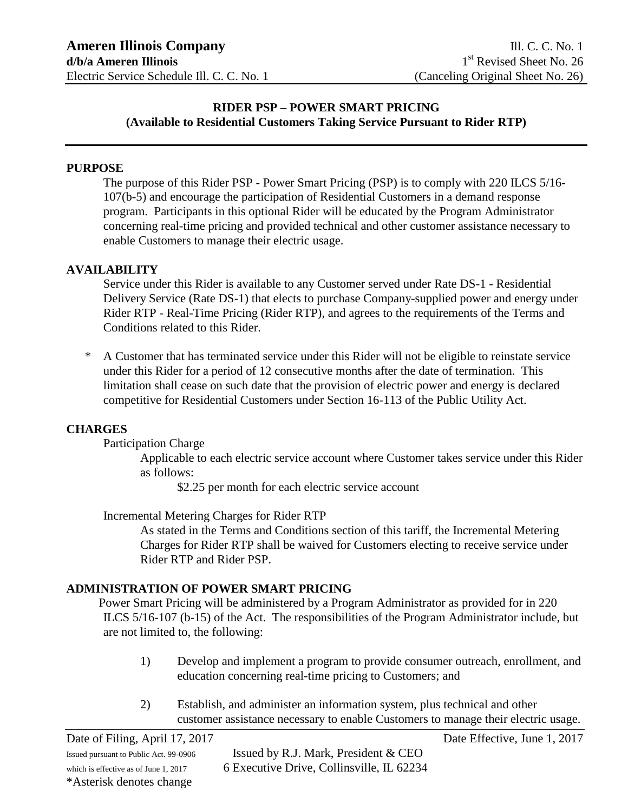#### **PURPOSE**

The purpose of this Rider PSP - Power Smart Pricing (PSP) is to comply with 220 ILCS 5/16- 107(b-5) and encourage the participation of Residential Customers in a demand response program. Participants in this optional Rider will be educated by the Program Administrator concerning real-time pricing and provided technical and other customer assistance necessary to enable Customers to manage their electric usage.

#### **AVAILABILITY**

Service under this Rider is available to any Customer served under Rate DS-1 - Residential Delivery Service (Rate DS-1) that elects to purchase Company-supplied power and energy under Rider RTP - Real-Time Pricing (Rider RTP), and agrees to the requirements of the Terms and Conditions related to this Rider.

\* A Customer that has terminated service under this Rider will not be eligible to reinstate service under this Rider for a period of 12 consecutive months after the date of termination. This limitation shall cease on such date that the provision of electric power and energy is declared competitive for Residential Customers under Section 16-113 of the Public Utility Act.

#### **CHARGES**

Participation Charge

Applicable to each electric service account where Customer takes service under this Rider as follows:

\$2.25 per month for each electric service account

Incremental Metering Charges for Rider RTP

As stated in the Terms and Conditions section of this tariff, the Incremental Metering Charges for Rider RTP shall be waived for Customers electing to receive service under Rider RTP and Rider PSP.

#### **ADMINISTRATION OF POWER SMART PRICING**

Power Smart Pricing will be administered by a Program Administrator as provided for in 220 ILCS 5/16-107 (b-15) of the Act. The responsibilities of the Program Administrator include, but are not limited to, the following:

- 1) Develop and implement a program to provide consumer outreach, enrollment, and education concerning real-time pricing to Customers; and
- 2) Establish, and administer an information system, plus technical and other customer assistance necessary to enable Customers to manage their electric usage.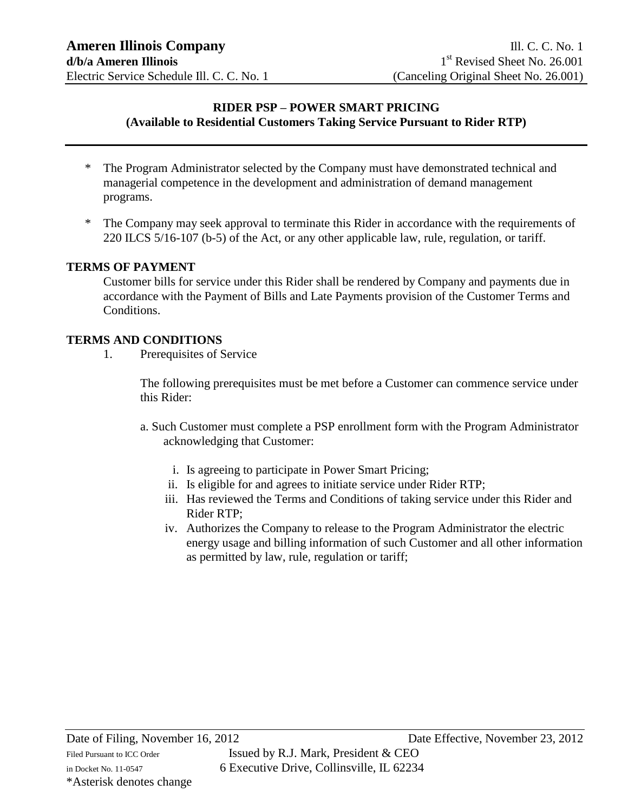- \* The Program Administrator selected by the Company must have demonstrated technical and managerial competence in the development and administration of demand management programs.
- \* The Company may seek approval to terminate this Rider in accordance with the requirements of 220 ILCS 5/16-107 (b-5) of the Act, or any other applicable law, rule, regulation, or tariff.

#### **TERMS OF PAYMENT**

Customer bills for service under this Rider shall be rendered by Company and payments due in accordance with the Payment of Bills and Late Payments provision of the Customer Terms and Conditions.

#### **TERMS AND CONDITIONS**

1. Prerequisites of Service

The following prerequisites must be met before a Customer can commence service under this Rider:

- a. Such Customer must complete a PSP enrollment form with the Program Administrator acknowledging that Customer:
	- i. Is agreeing to participate in Power Smart Pricing;
	- ii. Is eligible for and agrees to initiate service under Rider RTP;
	- iii. Has reviewed the Terms and Conditions of taking service under this Rider and Rider RTP;
	- iv. Authorizes the Company to release to the Program Administrator the electric energy usage and billing information of such Customer and all other information as permitted by law, rule, regulation or tariff;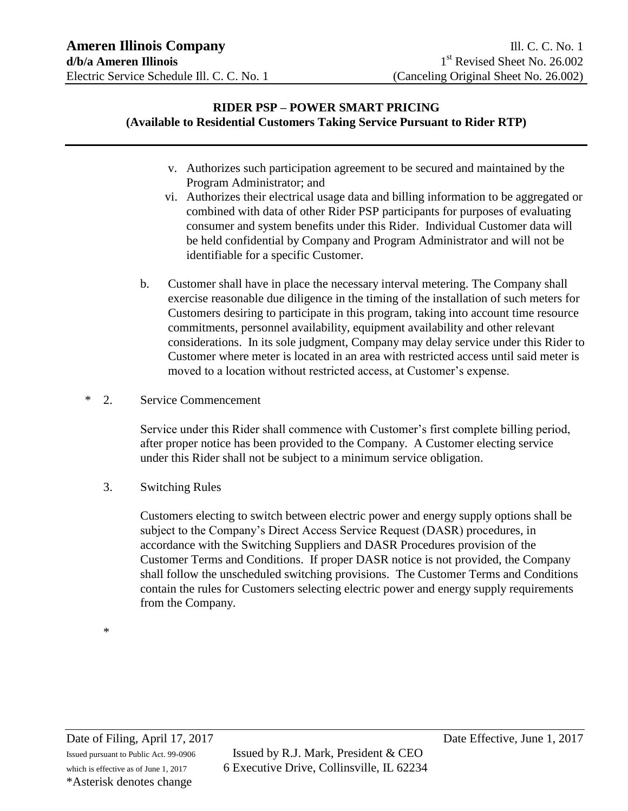- v. Authorizes such participation agreement to be secured and maintained by the Program Administrator; and
- vi. Authorizes their electrical usage data and billing information to be aggregated or combined with data of other Rider PSP participants for purposes of evaluating consumer and system benefits under this Rider. Individual Customer data will be held confidential by Company and Program Administrator and will not be identifiable for a specific Customer.
- b. Customer shall have in place the necessary interval metering. The Company shall exercise reasonable due diligence in the timing of the installation of such meters for Customers desiring to participate in this program, taking into account time resource commitments, personnel availability, equipment availability and other relevant considerations. In its sole judgment, Company may delay service under this Rider to Customer where meter is located in an area with restricted access until said meter is moved to a location without restricted access, at Customer's expense.
- \* 2. Service Commencement

Service under this Rider shall commence with Customer's first complete billing period, after proper notice has been provided to the Company. A Customer electing service under this Rider shall not be subject to a minimum service obligation.

3. Switching Rules

Customers electing to switch between electric power and energy supply options shall be subject to the Company's Direct Access Service Request (DASR) procedures, in accordance with the Switching Suppliers and DASR Procedures provision of the Customer Terms and Conditions. If proper DASR notice is not provided, the Company shall follow the unscheduled switching provisions. The Customer Terms and Conditions contain the rules for Customers selecting electric power and energy supply requirements from the Company.

\*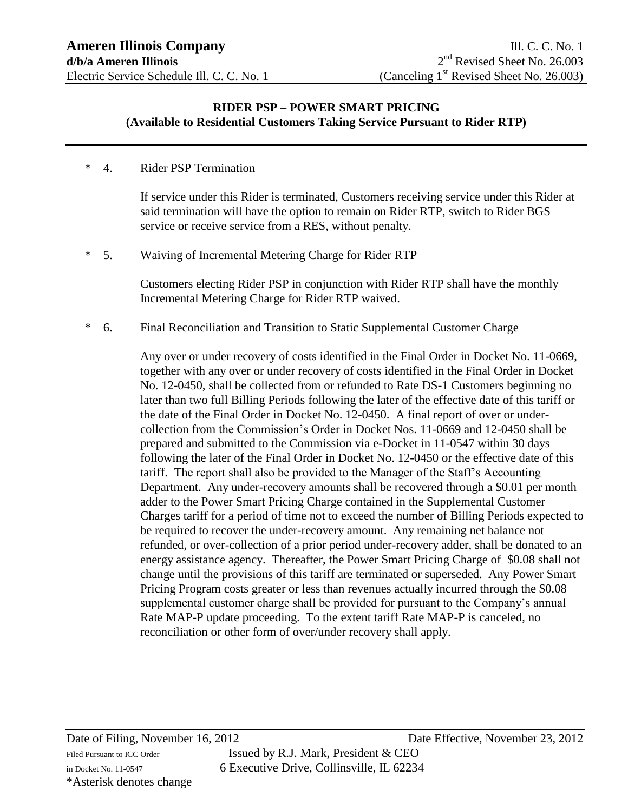#### \* 4. Rider PSP Termination

If service under this Rider is terminated, Customers receiving service under this Rider at said termination will have the option to remain on Rider RTP, switch to Rider BGS service or receive service from a RES, without penalty.

\* 5. Waiving of Incremental Metering Charge for Rider RTP

Customers electing Rider PSP in conjunction with Rider RTP shall have the monthly Incremental Metering Charge for Rider RTP waived.

\* 6. Final Reconciliation and Transition to Static Supplemental Customer Charge

Any over or under recovery of costs identified in the Final Order in Docket No. 11-0669, together with any over or under recovery of costs identified in the Final Order in Docket No. 12-0450, shall be collected from or refunded to Rate DS-1 Customers beginning no later than two full Billing Periods following the later of the effective date of this tariff or the date of the Final Order in Docket No. 12-0450. A final report of over or undercollection from the Commission's Order in Docket Nos. 11-0669 and 12-0450 shall be prepared and submitted to the Commission via e-Docket in 11-0547 within 30 days following the later of the Final Order in Docket No. 12-0450 or the effective date of this tariff. The report shall also be provided to the Manager of the Staff's Accounting Department. Any under-recovery amounts shall be recovered through a \$0.01 per month adder to the Power Smart Pricing Charge contained in the Supplemental Customer Charges tariff for a period of time not to exceed the number of Billing Periods expected to be required to recover the under-recovery amount. Any remaining net balance not refunded, or over-collection of a prior period under-recovery adder, shall be donated to an energy assistance agency. Thereafter, the Power Smart Pricing Charge of \$0.08 shall not change until the provisions of this tariff are terminated or superseded. Any Power Smart Pricing Program costs greater or less than revenues actually incurred through the \$0.08 supplemental customer charge shall be provided for pursuant to the Company's annual Rate MAP-P update proceeding. To the extent tariff Rate MAP-P is canceled, no reconciliation or other form of over/under recovery shall apply.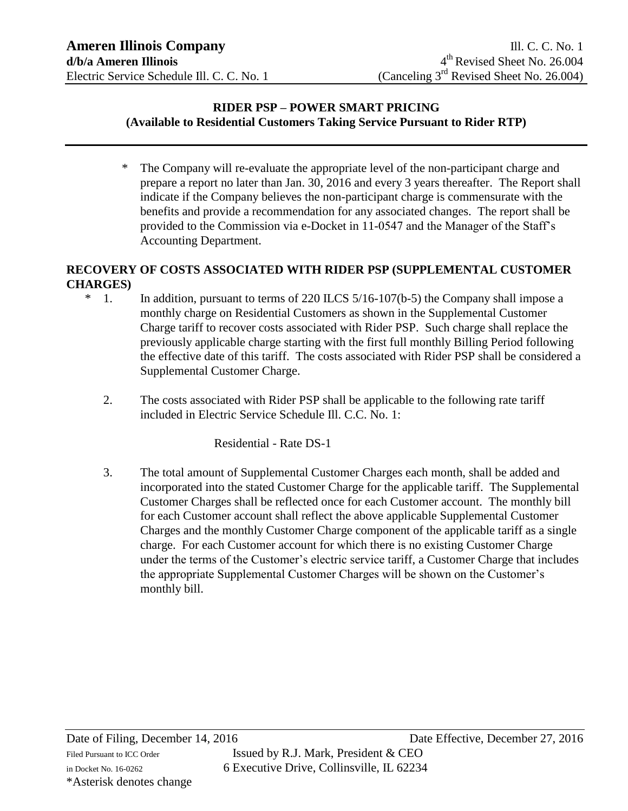The Company will re-evaluate the appropriate level of the non-participant charge and prepare a report no later than Jan. 30, 2016 and every 3 years thereafter. The Report shall indicate if the Company believes the non-participant charge is commensurate with the benefits and provide a recommendation for any associated changes. The report shall be provided to the Commission via e-Docket in 11-0547 and the Manager of the Staff's Accounting Department.

### **RECOVERY OF COSTS ASSOCIATED WITH RIDER PSP (SUPPLEMENTAL CUSTOMER CHARGES)**

- \* 1. In addition, pursuant to terms of 220 ILCS 5/16-107(b-5) the Company shall impose a monthly charge on Residential Customers as shown in the Supplemental Customer Charge tariff to recover costs associated with Rider PSP. Such charge shall replace the previously applicable charge starting with the first full monthly Billing Period following the effective date of this tariff. The costs associated with Rider PSP shall be considered a Supplemental Customer Charge.
	- 2. The costs associated with Rider PSP shall be applicable to the following rate tariff included in Electric Service Schedule Ill. C.C. No. 1:

Residential - Rate DS-1

3. The total amount of Supplemental Customer Charges each month, shall be added and incorporated into the stated Customer Charge for the applicable tariff. The Supplemental Customer Charges shall be reflected once for each Customer account. The monthly bill for each Customer account shall reflect the above applicable Supplemental Customer Charges and the monthly Customer Charge component of the applicable tariff as a single charge. For each Customer account for which there is no existing Customer Charge under the terms of the Customer's electric service tariff, a Customer Charge that includes the appropriate Supplemental Customer Charges will be shown on the Customer's monthly bill.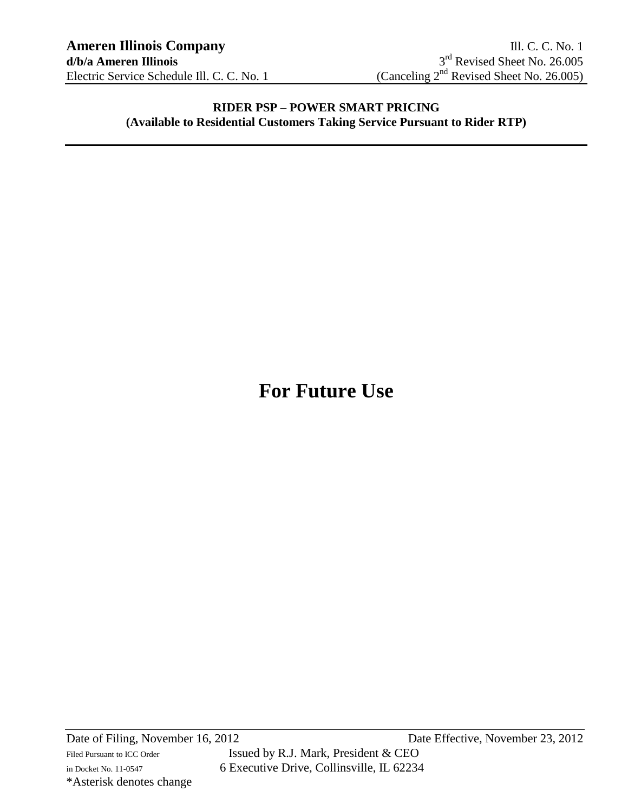# **For Future Use**